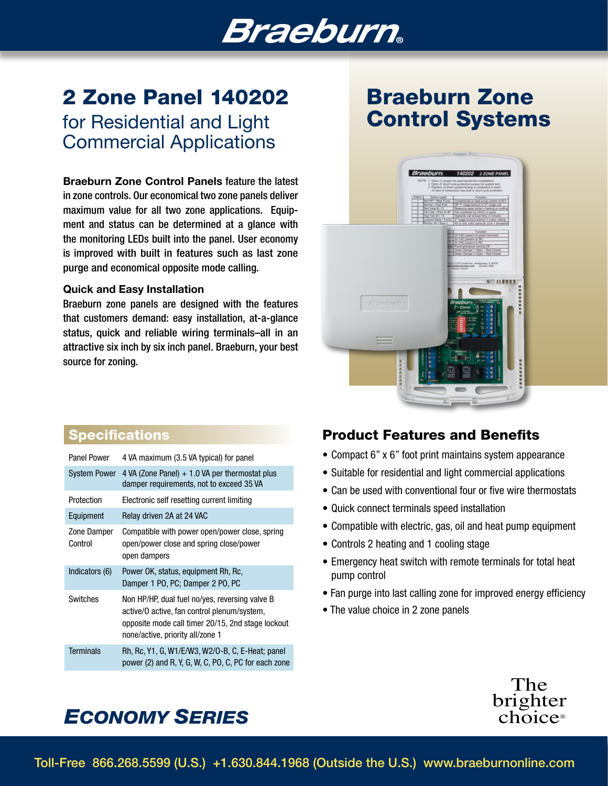# *Braeburn*。

# 2 Zone Panel 140202

for Residential and Light Commercial Applications

Braeburn Zone Control Panels feature the latest in zone controls. Our economical two zone panels deliver maximum value for all two zone applications. Equipment and status can be determined at a glance with the monitoring LEDs built into the panel. User economy is improved with built in features such as last zone purge and economical opposite mode calling.

#### Quick and Easy Installation

Braeburn zone panels are designed with the features that customers demand: easy installation, at-a-glance status, quick and reliable wiring terminals–all in an attractive six inch by six inch panel. Braeburn, your best source for zoning.

## Braeburn Zone Control Systems



### **Specifications**

| Panel Power            | 4 VA maximum (3.5 VA typical) for panel                                                                                                                                                |
|------------------------|----------------------------------------------------------------------------------------------------------------------------------------------------------------------------------------|
| <b>System Power</b>    | 4 VA (Zone Panel) $+1.0$ VA per thermostat plus<br>damper requirements, not to exceed 35 VA                                                                                            |
| Protection             | Electronic self resetting current limiting                                                                                                                                             |
| Equipment              | Relay driven 2A at 24 VAC                                                                                                                                                              |
| Zone Damper<br>Control | Compatible with power open/power close, spring<br>open/power close and spring close/power<br>open dampers                                                                              |
| Indicators (6)         | Power OK, status, equipment Rh, Rc,<br>Damper 1 PO, PC; Damper 2 PO, PC                                                                                                                |
| Switches               | Non HP/HP, dual fuel no/yes, reversing valve B<br>active/0 active, fan control plenum/system,<br>opposite mode call timer 20/15, 2nd stage lockout<br>none/active, priority all/zone 1 |
| <b>Terminals</b>       | Rh, Rc, Y1, G, W1/E/W3, W2/O-B, C, E-Heat; panel<br>power (2) and R, Y, G, W, C, PO, C, PC for each zone                                                                               |

## Product Features and Benefits

- Compact 6" x 6" foot print maintains system appearance
- Suitable for residential and light commercial applications
- Can be used with conventional four or five wire thermostats
- Quick connect terminals speed installation
- Compatible with electric, gas, oil and heat pump equipment
- Controls 2 heating and 1 cooling stage
- Emergency heat switch with remote terminals for total heat pump control
- Fan purge into last calling zone for improved energy efficiency
- The value choice in 2 zone panels



## *ECONOMY SERIES*